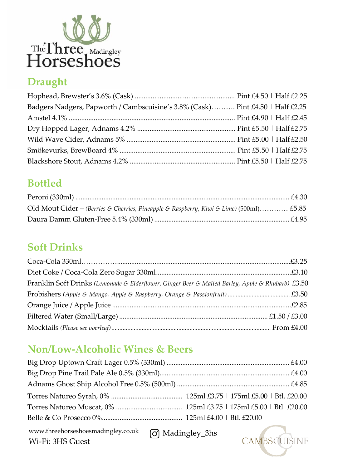

# **Draught**

| Badgers Nadgers, Papworth / Cambscuisine's 3.8% (Cask) Pint £4.50   Half £2.25 |  |
|--------------------------------------------------------------------------------|--|
|                                                                                |  |
|                                                                                |  |
|                                                                                |  |
|                                                                                |  |
|                                                                                |  |

# **Bottled**

| Old Mout Cider - (Berries & Cherries, Pineapple & Raspberry, Kiwi & Lime) (500ml) £5.85 |  |
|-----------------------------------------------------------------------------------------|--|
|                                                                                         |  |

# **Soft Drinks**

| Franklin Soft Drinks (Lemonade & Elderflower, Ginger Beer & Malted Barley, Apple & Rhubarb) £3.50 |  |
|---------------------------------------------------------------------------------------------------|--|
|                                                                                                   |  |
|                                                                                                   |  |
|                                                                                                   |  |
|                                                                                                   |  |

## **Non/Low-Alcoholic Wines & Beers**

Wi-Fi: 3HS Guest

Madingley\_3hs